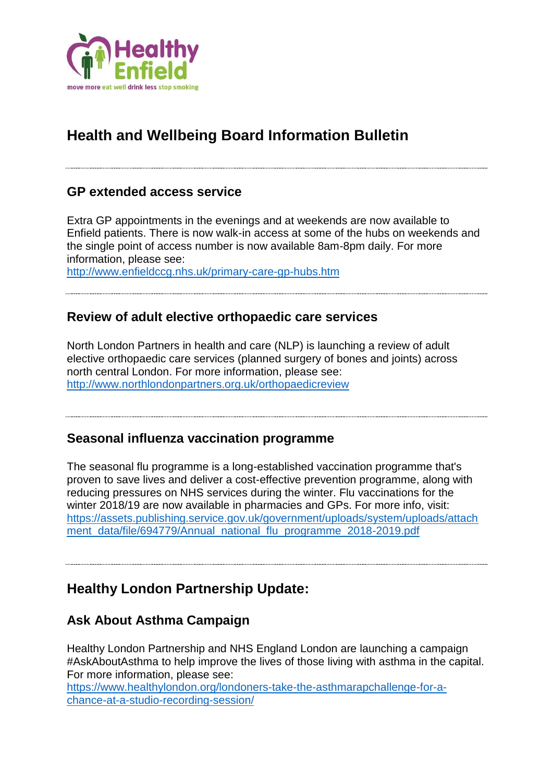

# **Health and Wellbeing Board Information Bulletin**

#### **GP extended access service**

Extra GP appointments in the evenings and at weekends are now available to Enfield patients. There is now walk-in access at some of the hubs on weekends and the single point of access number is now available 8am-8pm daily. For more information, please see:

<http://www.enfieldccg.nhs.uk/primary-care-gp-hubs.htm>

### **Review of adult elective orthopaedic care services**

North London Partners in health and care (NLP) is launching a review of adult elective orthopaedic care services (planned surgery of bones and joints) across north central London. For more information, please see: <http://www.northlondonpartners.org.uk/orthopaedicreview>

#### **Seasonal influenza vaccination programme**

The seasonal flu programme is a long-established vaccination programme that's proven to save lives and deliver a cost-effective prevention programme, along with reducing pressures on NHS services during the winter. Flu vaccinations for the winter 2018/19 are now available in pharmacies and GPs. For more info, visit: [https://assets.publishing.service.gov.uk/government/uploads/system/uploads/attach](https://assets.publishing.service.gov.uk/government/uploads/system/uploads/attachment_data/file/694779/Annual_national_flu_programme_2018-2019.pdf) [ment\\_data/file/694779/Annual\\_national\\_flu\\_programme\\_2018-2019.pdf](https://assets.publishing.service.gov.uk/government/uploads/system/uploads/attachment_data/file/694779/Annual_national_flu_programme_2018-2019.pdf)

**Healthy London Partnership Update:**

### **Ask About Asthma Campaign**

Healthy London Partnership and NHS England London are launching a campaign #AskAboutAsthma to help improve the lives of those living with asthma in the capital. For more information, please see:

[https://www.healthylondon.org/londoners-take-the-asthmarapchallenge-for-a](https://www.healthylondon.org/nhs-in-london-says-take-three-small-steps-to-improve-lives-askaboutasthma/)[chance-at-a-studio-recording-session/](https://www.healthylondon.org/nhs-in-london-says-take-three-small-steps-to-improve-lives-askaboutasthma/)